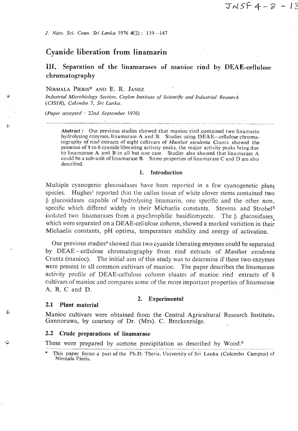*J. Natn. Sci. Coun. Sri Lanka* 1976 4(2): 139-147

# **Cyanide liberation from linamarin**

**111.. Separation of the linamarases of manioc rind by DEAE-cellulose chromatography** 

 $JNSF4 - 2 - 13$ 

# **NIRMALA PIERIS\* AND 33. R. JANSZ**

*Industrial Microbiology Section, Ceylon Institute of Scientific and Inrlusfrial ~esearch (CISIR). Colombo 7, Sri Lanka.* 

*(Paper accepted* : *22nd September 1976)* 

**Abstract** : Our previous studies showed that manioc rind contained two linamarin hydrolysing enzymes, linamarase A and B. Studies using DEAE—cellulose chromatography of rind extracts of eight cultivars of *Manihot esculenta* Crantz showed the presence of 4 to 6 cyanide liberating activity peaks, the major activity peaks heing due to linamarase A and B in all but one case. Studies also showed that linamarase A could be a sub-unit of linamarase B. Some properties of linamarase C and D are also described.

#### 1. **Introduction**

Multiple cyanogenic glucosidases have been reported in a few cyanogenetic plant species. Hughes<sup>1</sup> reported that the callus tissue of white clover stems contained two (3 glucosidases capable of hydrolysing linamarin, one specific and the other nonspecific which differed widely in their Michaelis constants. Stevens and Strobel<sup>5</sup> isolated two linamarases from a psychrophilic basidiomycete. The  $\beta$  glucosidases which were separated on a DEAE-cellulose column, showed a marked variation in their Michaelis constants, pH optima, temperature stability and energy of activation.

Our previous studies<sup>4</sup> showed that two cyanide liberating enzymes could be separated by DEAE-cellulose chromatography from rind extracts of Manihot *esculenta*  Crantz (manioc). The initial aim of this study was to determine if these two enzymes were present in all common cultivars of manioc. The paper describes the linamarase activity profile of DEAE-cellulose column eluates of manioc rind extracts of 8 cultivars of manioc and compares some of the more important properties of linamarase A. B, *C* and D.

#### **2. Experimental**

#### **2.1 Plant material**

Manioc cultivars were obtained from the Central Agricultural Research Institute, Gannoruwa, by courtesy of Dr. (Mrs). *C.* Breckenridge.

#### **2.2 Crude preparations of linamarase**

These were prepared by acetone precipitation as described by Wood.<sup>6</sup>

This paper forms a part of the Ph.D. Thesis, University of Sri Lanka [Colombo Campus] of Nirmala Pieris.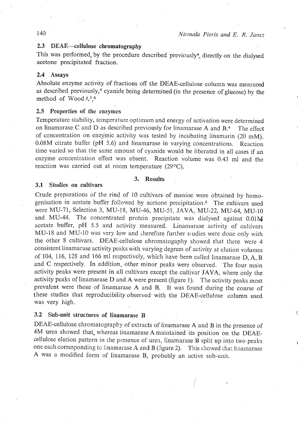# **2.3** DEAE-cdlufose chromatography

This was performed, by the procedure described previously4, directly on the dialysed acetone precipitated fraction.

# 2.4 Assays

Absolute enzyme activity of fractions off the DEAE-ceilulose column was measured as described previously, $4$  cyanide being determined (in the presence of glucose) by the method of Wood. $2,3,6$ 

# 2.5 Properties **of** the **enzymes**

Temperature stability, temperature optimum and energy of activation were determined on linamarase C and D as described previously for linamarase A and  $B<sup>4</sup>$  The effect of concentration on enzymic activity was tested by incubating linamarin (20 mM). 0.08M citrate buffer **(pH** 5.6) and linamarase in varying concentrations. Reaction time varied so that the same amount of cyanide would be liberated in all cases if an enzyme concentration effect was absent. Reaction volume was 0.43 ml and the reaction was carried out at room temperature (29<sup>o</sup>C).

# 3. Results

#### 3.1 Studies on cultivars

Crude preparations of the rind of 10 cultivars of manioc were obtained by homogenisation in acetate buffer followed by acetone precipitation.<sup>6</sup> The cultivars used were **MU-71,** Selection 3, MU-18, MU-46, MU-51, JAVA, MU-22, MU-64, MU-I0 and MU-44. The concentrated protein precipitate was dialysed against  $0.01\text{M}$ acetate buffer, pH 5.5 and activity measured. Linamarase activity of cultivars MU-18 and MU-10 was very low and therefore further syudies were done only with the other 8 cultivars. DEAE-cellulose chromatogaphy showed that there were 4 consistent linamarase activity peaks with varying degrees of activity at elution volumes of 104, 116, 128 and 166 ml respectively, which have been called linamarase **D,** A, **B**  and *C* respectively. In addition, other minor peaks were observed. The four main activity peaks were present in all cultivars except the cultivar JAVA, where only the activity peaks of linamarase D and A were present (figure 1). The activity peaks most prevalent were those of linamarase  $A$  and  $B$ . It was found during the course of these studies that reproducibility observed with the DEAE-cellulose column used was very high.

# **3.2 Sub-unit structures of linamarase B**

DEAE-cellulose chromatography of extracts of linamarase **A** and B in the presence of 4M urea showed that, whereas linarnarase Amaintained its position on the **DEAE**cellulose elution pattern in the presence of urea, linamarase B split up into two peaks one each corresponding to linamarase A and **B** (Sigure 2). This showed that linamarase **A** was a modified form of linamarase B, probably an active sub-unit.

# 140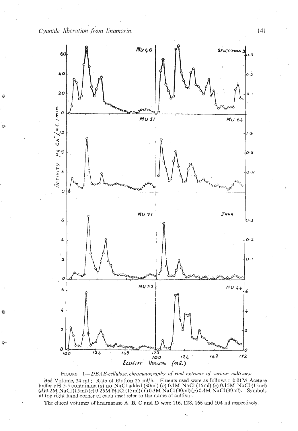*Cyanide liberation porn iinamarin.* 141

 $\hat{Q}$ 

 $\ddot{Q}$ 

Ö

 $\mathbb{Q}^{\omega}$ 



FIGURE 1—*DEAE-cellulose chromatography of rina extracts of various cultivars*.<br>Bed Volume, 34 ml; Rate of Elution 25 ml/h. Eluents used were as follows: 0.01M Acetate<br>buffer pH 5.5 containing (a) no NaCl ated (30ml) (b)

The eluent volumes of linamarase **A**, **B**, **C** and **D** were 116, 128, 166 and 104 ml respectively.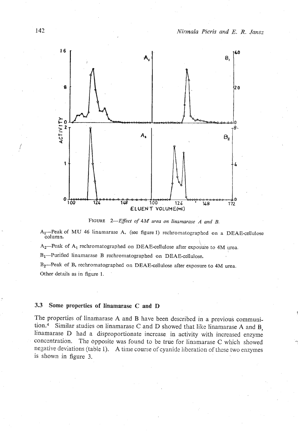

**FIGURE** *2-Efect of 4M urea on linamarase A and B.* 

**Al-Peak of MU 46 linamarase A, (see figure 1) rechromatographed on a DEAE-ceUulose column.** 

A<sub>2</sub>-Peak of A<sub>1</sub> rechromatographed on DEAE-cellulose after exposure to 4M urea.

**B1-Purified linamarase B rechromatographed on DEAE-cellulose.** 

**B2-Peak of B. rechromatographed on DEAE-cellulose after exposure to 4M urea.**  Other details as in figure 1.

# **3.3 Some properties of linarnarase C and D**

The properties of linamarase A and B have been described in a previous communition.<sup>4</sup> Similar studies on linamarase C and D showed that like linamarase A and B, linamarase D had a disproportionate increase. in activity with increased enzyme concentration. The dpposite was found to be true for linamarase C which showed negative deviations (table 1). A time course of cyanide liberation of these two enzymes is shown in figure 3.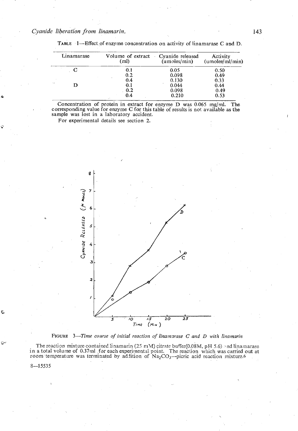*Cyanide liberation from linamarin. 143* 

| Linamarase | Volume of extract Cyanide released<br>(ml) | (unoles/min) | Activity<br>(unoles/ml/min) |  |
|------------|--------------------------------------------|--------------|-----------------------------|--|
|            | 0.1                                        | 0.05         | 0.50                        |  |
|            | 0.2                                        | 0.098        | 0.49                        |  |
|            | 0.4                                        | 0.130        | 0.33                        |  |
|            | 0.1                                        | 0.044        | 0.44                        |  |
|            | 0.2                                        | 0.098        | 0.49                        |  |
|            | 0.4                                        | 0.210        | 0.53                        |  |

TABLE  $1$ -Effect of enzyme concentration on activity of linamarase C and D.

Concentration of protein in extract for enzyme D was 0.065 mg/ml. The corresponding value for enzyme C for this table of results is not available as the sample was lost in a laboratory accident.

For experimental details see section 2.



FIGURE 3-Time course of initial reaction of linamarase C and D with linamarin

The reaction mixture contained linamarin (25 mM) citrate buffer(0.08M, pH 5.6) and linamarase in a total volume of 0.37ml for each experimental point. The reaction which was carried out at room temperature was terminated by addition of  $Na<sub>2</sub>CO<sub>3</sub>$ -picric acid reaction mixture.6

 $8 - 15535$ 

↶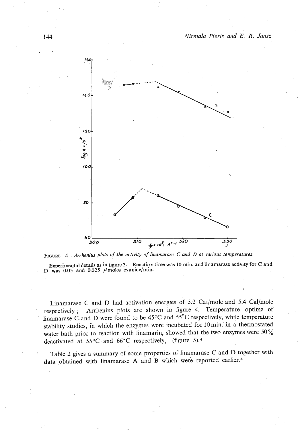

**FEW** *&Arrhenius plots of* **the** *aclivily* **of** *Iinamarase C* **ond I) ai** *vurious temperatures.* 

Experimental details as in figure 3. Reaction time was 10 min. and linamarase activity for C and D was  $0.05$  and  $0.025$   $\mu$  moles cyanide/min.

Linamarase C and D had activation energies of 5.2 Cal/mole and 5.4 Cal/mole respectively ; Arrhenius plots are shown in figure 4. Temperature optima of linamarase C and D were found to be  $45^{\circ}$ C and  $55^{\circ}$ C respectively, while temperature stability studies, in which the enzymes were incubated for l0min. in a thermostated water bath prior to reaction with linamarin, showed that the two enzymes were  $50\%$ deactivated at  $55^{\circ}$ C and  $66^{\circ}$ C respectively, (figure 5).<sup>4</sup>

Table 2 gives a summary of some properties of linamarase C and D together with data obtained with linamarase A and B which were reported earlier.<sup>4</sup>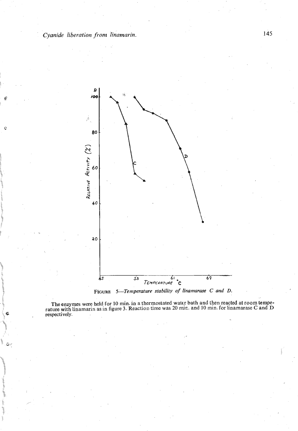$\mathbf{Q}$ 



FIGURE 5-Temperature stability of linamarase C and D.

The enzymes were held for 10 min. in a thermostated water bath and then reacted at room temperature with linamarin as in figure 3. Reaction time was 20 min. and 10 min. for linamarase C and D respectively.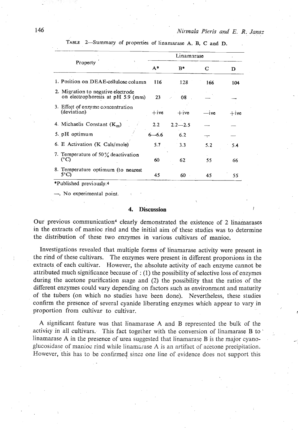|      |                                                                         | Linamarase    |             |                          |            |
|------|-------------------------------------------------------------------------|---------------|-------------|--------------------------|------------|
|      | Property                                                                | $A^*$         | $B*$        | C                        | D          |
|      | 1. Position on DEAE-cellulose column                                    | 116           | 128         | 166                      | 104        |
|      | 2. Migration to negative electrode<br>on electrophoresis at pH 5.9 (mm) | 23            | 08          |                          |            |
|      | 3. Effect of enzyme concentration<br>(deviation)                        | $+$ ive       | $+$ ive     | -ive                     | $+$ 14 $e$ |
|      | 4. Michaelis Constant $(K_m)$                                           | $2.2^{\circ}$ | $2.2 - 2.5$ |                          |            |
|      | 5. pH optimum                                                           | $6 - 6.6$     | 6.2         | $\overline{\phantom{a}}$ |            |
|      | 6. E Activation (K Cals/mole)                                           |               | 3.3         | 5.2                      | 5.4        |
|      | 7. Temperature of $50\%$ deactivation<br>$(^{\circ}C)$                  |               | 62          | 55                       | 66         |
| 5°C) | 8. Temperature optimum (to nearest                                      | 45            | 60          | 45                       | 55         |

**TABLE 2-Summary of properties of linamarase A, B, C and D.** 

-, **No experimental point.** ,

#### 4. **Discussion**

Our previous communication<sup>4</sup> clearly demonstrated the existence of 2 linamarases in the extracts of manioc rind and the initial aim of these studies was to determine the distribution of these two enzymes in various cultivars of manioc.

Investigations revealed that multiple forms of linamarase activity were present in the rind of these cultivars. The enzymes were present in different proporiions in the extracts of each cultivar. However, the absolute activity of each enzyme cannot be attributed much significance because of : (1) the possibility of selective loss of enzymes during the acetone purification stage and (2) the possibility that the ratios of the different enzymes could vary depending on factors such as environment and maturity of the tubers (on which no studies have been done). Nevertheless, these studies confirm the presence of several cyanide liberating enzymes which appear to vary in proportion from cultivar to cultivar. **<sup>I</sup>**

A significant feature was that linamarase A and B represented the bulk of the activity in all cultivars. This fact together with the conversion of linamarase B to linamarase A in the presence of urea suggested that linamarase B is the major cyanoglucosidase of manioc rind while linamarase A is an artifact of acetone precipitation. However, this has to be confirmed since one line of evidence does not support this